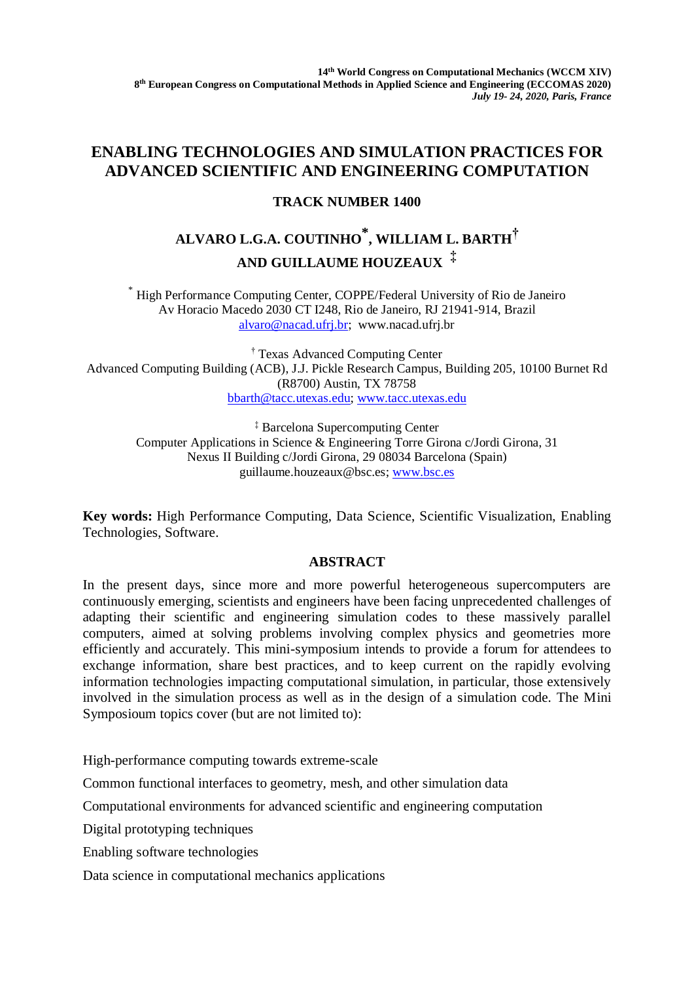## **ENABLING TECHNOLOGIES AND SIMULATION PRACTICES FOR ADVANCED SCIENTIFIC AND ENGINEERING COMPUTATION**

## **TRACK NUMBER 1400**

## **ALVARO L.G.A. COUTINHO \* , WILLIAM L. BARTH† AND GUILLAUME HOUZEAUX ‡**

\* High Performance Computing Center, COPPE/Federal University of Rio de Janeiro Av Horacio Macedo 2030 CT I248, Rio de Janeiro, RJ 21941-914, Brazil [alvaro@nacad.ufrj.br;](mailto:alvaro@nacad.ufrj.br) www.nacad.ufrj.br

† Texas Advanced Computing Center Advanced Computing Building (ACB), J.J. Pickle Research Campus, Building 205, 10100 Burnet Rd (R8700) Austin, TX 78758 [bbarth@tacc.utexas.edu;](mailto:bbarth@tacc.utexas.edu) [www.tacc.utexas.edu](http://www.tacc.utexas.edu/)

‡ Barcelona Supercomputing Center Computer Applications in Science & Engineering Torre Girona c/Jordi Girona, 31 Nexus II Building c/Jordi Girona, 29 08034 Barcelona (Spain) guillaume.houzeaux@bsc.es; [www.bsc.es](http://www.bsc.es/)

**Key words:** High Performance Computing, Data Science, Scientific Visualization, Enabling Technologies, Software.

## **ABSTRACT**

In the present days, since more and more powerful heterogeneous supercomputers are continuously emerging, scientists and engineers have been facing unprecedented challenges of adapting their scientific and engineering simulation codes to these massively parallel computers, aimed at solving problems involving complex physics and geometries more efficiently and accurately. This mini-symposium intends to provide a forum for attendees to exchange information, share best practices, and to keep current on the rapidly evolving information technologies impacting computational simulation, in particular, those extensively involved in the simulation process as well as in the design of a simulation code. The Mini Symposioum topics cover (but are not limited to):

High-performance computing towards extreme-scale

Common functional interfaces to geometry, mesh, and other simulation data

Computational environments for advanced scientific and engineering computation

Digital prototyping techniques

Enabling software technologies

Data science in computational mechanics applications